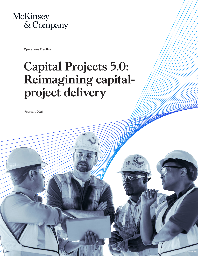

Operations Practice

# **Capital Projects 5.0: Reimagining capitalproject delivery**

February 2021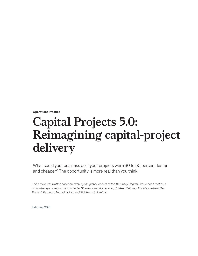Operations Practice

# **Capital Projects 5.0: Reimagining capital-project delivery**

What could your business do if your projects were 30 to 50 percent faster and cheaper? The opportunity is more real than you think.

*This article was written collaboratively by the global leaders of the McKinsey Capital Excellence Practice, a group that spans regions and includes Shankar Chandrasekaran, Shakeel Kalidas, Mina Mir, Gerhard Nel, Prakash Parbhoo, Anuradha Rao, and Siddharth Srikanthan.*

February 2021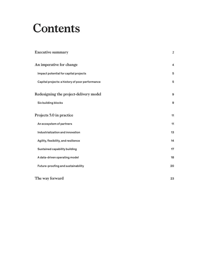# **Contents**

| <b>Executive summary</b>                        | $\overline{2}$ |
|-------------------------------------------------|----------------|
| An imperative for change                        | 4              |
| Impact potential for capital projects           | 5              |
| Capital projects: a history of poor performance | 5              |
| Redesigning the project-delivery model          | 9              |
| Six building blocks                             | 9              |
| Projects 5.0 in practice                        | 11             |
| An ecosystem of partners                        | 11             |
| Industrialization and innovation                | 13             |
| Agility, flexibility, and resilience            | 14             |
| Sustained capability building                   | 17             |
| A data-driven operating model                   | 18             |
| Future-proofing and sustainability              | 20             |
| The way forward                                 | 23             |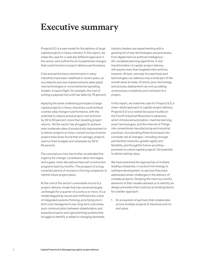### **Executive summary**

Projects 5.0 is a new model for the delivery of large capital projects in heavy industry. In this report, we make the case for a radically different approach in the sector, and outline the six fundamental changes that could transform project-delivery performance.

Cost and performance benchmarks in many industries have been redefined in recent years, as incumbents and new market entrants alike adopt new technologies or unconventional operating models. In space flight, for example, the cost of putting a payload into orbit has fallen by 75 percent.

Applying the same underlying principles to large capital projects in heavy industries could achieve a similar step change in performance, with the potential to reduce actual project cost and time by 30 to 50 percent, more than doubling project returns. Yet the sector has struggled to achieve even moderate rates of productivity improvement or to deliver projects on time; a recent survey of senior project executives found that on average, projects overrun their budgets and schedules by 30 to 45 percent.

The coronavirus crisis has further accelerated the urgency for change. Lockdowns, labor shortages, and supply-chain disruptions have set construction programs back by months. The prospect of a long, uncertain period of recovery is forcing companies to rethink future project plans.

At the root of the sector's unenviable record is a project-delivery model that has remained largely unchanged for a quarter of a century or more. It is a model plagued by issues and inefficiencies: a lack of integrated systems thinking; prioritizing shortterm cost management over long-term outcomes; poor communication between stakeholders; and bespoke projects and rigid planning systems that struggle to identify or adapt to changing demands.

Industry leaders are experimenting with a growing list of new technologies and processes, from digital twins to artificial intelligence– (AI–) enabled planning algorithms. A real transformation of capital-project delivery will require more than targeted interventions, however. At best, narrowly focused tools and technologies can address only a small part of the overall value at stake. At worst, poor technology and process deployment can end up adding unnecessary complexity and confusion to a project.

In this report, we make the case for Projects 5.0, a clean-sheet approach to capital-project delivery. Projects 5.0 is so named because it builds on the Fourth Industrial Revolution's advances, which introduced automation, machine learning, smart technologies, and the Internet of Things into conventional manufacturing and industrial practices. Incorporating these techniques into a broader set of changes—including stronger partnership networks, greater agility and flexibility, and thoughtful future-proofing promises to unlock capital projects' full potential to deliver lasting value.

We have examined the approaches of multiple leading companies, in sectors from energy to software development, to see how they have addressed similar challenges in the delivery of complex projects. Studying the most successful elements of their models allowed us to identify six design principles that could act as building blocks for a better approach:

1. An ecosystem of partners that collaborates across multiple projects to maximize end-toend value.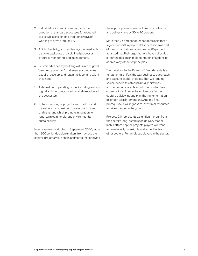- 2. Industrialization and innovation, with the adoption of standard processes for repeated tasks, while challenging traditional ways of working to drive productivity.
- 3. Agility, flexibility, and resilience, combined with a stable backbone of disciplined processes, progress monitoring, and management.
- 4. Sustained capability building with a redesigned "people supply chain" that ensures companies acquire, develop, and retain the labor and talent they need.
- 5. A data-driven operating model including a robust digital architecture, shared by all stakeholders in the ecosystem.
- 6. Future-proofing of projects, with metrics and incentives that consider future opportunities and risks, and which promote innovation for long-term commercial and environmental sustainability.

In a survey we conducted in September, 2020, more than 300 senior decision-makers from across the capital-projects value chain estimated that applying these principles at scale could reduce both cost and delivery time by 30 to 40 percent.

More than 75 percent of respondents said that a significant shift in project delivery model was part of their organization's agenda—but 85 percent admitted that their organizations have not scaled either the design or implementation of actions to address any of the six principles.

The transition to the Projects 5.0 model entails a fundamental shift in the way businesses approach and execute capital projects. That will require senior leaders to establish bold aspirations and communicate a clear call to action for their organizations. They will want to move fast to capture quick wins and plan the implementation of longer-term interventions. And the final prerequisite: a willingness to invest real resources to drive change on the ground.

Projects 5.0 represents a significant break from the sector's long-established delivery model. In this effort, capital-projects players will want to draw heavily on insights and expertise from other sectors. For ambitious players in the sector,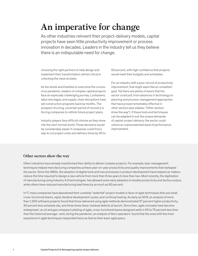### **An imperative for change**

As other industries reinvent their project-delivery models, capital projects have seen little productivity improvement or process innovation in decades. Leaders in the industry tell us they believe there is an indisputable need for change.

choosing the right partners to help design and implement their transformation will be critical in unlocking the value at stake.

As the whole world battles to overcome the coronavirus pandemic, leaders of complex capital projects face an especially challenging journey. Lockdowns, labor shortages, and supply-chain disruptions have set construction programs back by months. The prospect of a long, uncertain period of recovery is forcing companies to rethink future project plans.

Industry players face difficult choices as they move into the next-normal world. Those decisions would be considerably easier if companies could find a way to cut project costs and delivery times by 30 to

50 percent, with high confidence that projects would meet their budgets and schedules.

For an industry with a poor record of productivity improvement, that might seem like an unrealistic goal. Yet there are plenty of levers that the sector could pull, from advances in technology to planning and process-management approaches that have proved remarkably effective in other sectors (see sidebar, "Other sectors show the way"). If these tools and techniques can be adapted to suit the unique demands of capital-project delivery, the sector could unlock an unprecedented wave of performance improvement.

#### **Other sectors show the way**

Other industries have already transformed their ability to deliver complex projects. For example, lean-management techniques helped manufacturing companies achieve year-on-year productivity and quality improvements that reshaped the sector. Since the 1990s, the adoption of digital tools and new processes in product development have helped car makers reduce the time required to design a new vehicle from more than three years to less than two. Most recently, the digitization of manufacturing using Industry 4.0 technologies has allowed some early adopters to double productivity and factory output, while others have reduced manufacturing lead times by as much as 90 percent.

In IT, many companies have abandoned their unwieldy "waterfall" project models in favor of agile techniques that use small, cross-functional teams, rapid, iterative development cycles, and continual testing. As early as 2013, an analysis of more than 1,300 software projects found that those delivered using agile methods demonstrated 27 percent higher productivity, 30 percent less schedule slip, and three times fewer residual defects at launch. Since then, agile concepts have become widespread : an oil and gas company's piloting of agile, cross-functional teams designed wells in 50 to 75 percent less time than the historical average—and, during the pandemic, an analysis of telco operators found that the ones with the most experience in agile techniques responded twice as fast as their least-agile peers.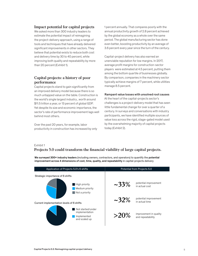#### **Impact potential for capital projects**

We asked more than 300 industry leaders to estimate the potential impact of reimagining the project-delivery approach, using a range of tools and techniques that have already delivered significant improvements in other sectors. They believe that potential exists to reduce both cost and delivery time by 30 to 40 percent, while improving both quality and repeatability by more than 20 percent (Exhibit 1).

#### **Capital projects: a history of poor performance**

Capital projects stand to gain significantly from an improved delivery model because there is so much untapped value on the table. Construction is the world's single largest industry , worth around \$11.5 trillion a year, or 13 percent of global GDP. Yet despite its size and economic importance, the sector's rate of performance improvement lags well behind most others.

Over the past 20 years, for example, labor productivity in construction has increased by only 1 percent annually. That compares poorly with the annual productivity growth of 2.8 percent achieved by the global economy as a whole over the same period. The global manufacturing sector has done even better, boosting productivity by an average of 3.6 percent every year since the turn of the century.

Capital-project delivery has also earned an unenviable reputation for low margins. In 2017, average profit margins for construction-sector players were estimated at 4.5 percent, putting them among the bottom quartile of businesses globally. By comparison, companies in the machinery sector typically achieve margins of 7 percent, while utilities manage 8.5 percent.

#### Rampant value losses with unsolved root causes

At the heart of the capital-projects sector's challenges is a project-delivery model that has seen little fundamental change for over a quarter of a century. In surveys and conversations with industry participants, we have identified multiple sources of value loss across the rigid, stage-gated model used by the overwhelming majority of capital projects today (Exhibit 2).

#### Exhibit 1

#### **Projects 5.0 could transform the financial viability of large capital projects.** Projects 5.0 could transform the nancial viability of large capital projects.

We surveyed 300+ industry leaders (including owners, contractors, and operators) to quantify the potential improvement across 4 dimensions of cost, time, quality, and repeatability in capital-projects delivery

| Application of Projects 5.0's 6 shifts                                                 | Potential from Projects 5.0                            |  |  |
|----------------------------------------------------------------------------------------|--------------------------------------------------------|--|--|
| Strategic importance of 6 shifts<br>High priority<br>Medium priority<br>Not a priority | potential improvement<br>$\sim 33\%$<br>in actual cost |  |  |
| Current implementation levels of 6 shifts                                              | potential improvement<br>$\sim 32\%$<br>in actual time |  |  |
| Not started/under<br>implementation<br>Implemented<br>and scaled up                    | improvement in quality<br>$>20\%$<br>and repeatability |  |  |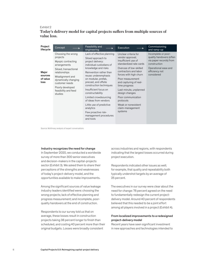#### Exhibit 2

**Today's delivery model for capital projects suffers from multiple sources of**  Today's delivery model for capital projects suers from multiple sources of **value loss.**  value loss.

| Project<br>lifecycle                 | Concept                                                                                                                                                                                                                             | Feasibility and<br>engineering                                                                                                                                                                                                                                                                                                                                                                                                                             | Execution                                                                                                                                                                                                                                                                                                                                                                   | Commissioning<br>and ramp-up                                                                                                                       |
|--------------------------------------|-------------------------------------------------------------------------------------------------------------------------------------------------------------------------------------------------------------------------------------|------------------------------------------------------------------------------------------------------------------------------------------------------------------------------------------------------------------------------------------------------------------------------------------------------------------------------------------------------------------------------------------------------------------------------------------------------------|-----------------------------------------------------------------------------------------------------------------------------------------------------------------------------------------------------------------------------------------------------------------------------------------------------------------------------------------------------------------------------|----------------------------------------------------------------------------------------------------------------------------------------------------|
| Major<br>sources<br>of value<br>loss | Choosing the wrong<br>projects<br>Myopic contracting<br>arrangements<br>Siloed, transactional<br>relationships<br>Misalignment and<br>dynamically changing<br>customer needs<br>Poorly developed<br>feasibility and feed<br>studies | Lack of effective planning<br>Siloed approach to<br>project delivery:<br>individual custodians of<br>knowledge and risks<br>Reinvention rather than<br>reuse: underemphasis<br>on modular, prefab,<br>precast, and offsite<br>construction techniques<br>Insufficient focus on<br>constructability<br>Limited crowdsourcing<br>of ideas from vendors<br>Little use of predictive<br>analytics<br>Few proactive risk-<br>management procedures<br>and tools | Unclear criteria for<br>vendor approval;<br>insufficient use of<br>standardized rate cards<br>Overuse of low-skilled<br>contractors and labor<br>forces with high churn<br>Poor measurement<br>and capturing of real-<br>time progress<br>Last-minute, unplanned<br>design changes<br>Poor communication<br>protocols<br>Weak or nonexistent<br>claim-management<br>systems | Incomplete or poor-<br>quality handovers (often<br>via paper records) from<br>construction<br>Operational ease and<br>efficiency not<br>considered |

Source: McKinsey analysis of expert conversations

#### Industry recognizes the need for change

In September 2020, we conducted a worldwide survey of more than 300 senior executives and decision-makers in the capital-projects sector (Exhibit 3). We asked them to share their perceptions of the strengths and weaknesses of today's project-delivery model, and the opportunities available to make improvements.

Among the significant sources of value leakage industry leaders identified were: choosing the wrong projects; lack of effective planning and progress measurement; and incomplete, poorquality handovers at the end of construction.

Respondents to our survey told us that on average, these losses result in construction projects taking 38 percent longer to finish than scheduled, and costing 40 percent more than their original budgets. Losses were broadly consistent

across industries and regions, with respondents indicating that the largest losses occurred during project execution.

Respondents indicated other issues as well; for example, that quality and repeatability both typically undershot targets by an average of 25 percent.

The executives in our survey were clear about the need for change: 76 percent agreed on the need to fundamentally redesign the current projectdelivery model. Around 40 percent of respondents believed that this needed to be a joint effort among all players involved in a project (Exhibit 4).

#### From localized improvements to a redesigned project-delivery model

Recent years have seen significant investment in new approaches and technologies intended to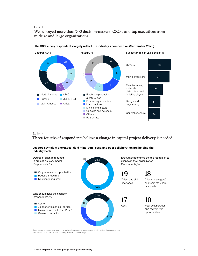#### Exhibit 3

**We surveyed more than 300 decision-makers, CXOs, and top executives from**  We surveyed more than 300 decision-makers, CXOs, and top executives from **midsize and large organizations.** midsize and large organizations.



#### The 306 survey respondents largely reflect the industry's composition (September 2020)

#### Exhibit 4

**Three-fourths of respondents believe a change in capital-project delivery is needed.** Three-fourths of respondents believe a change in capital-project delivery is **i** nree-ic

Leaders say talent shortages, rigid mind-sets, cost, and poor collaboration are holding the industry back



1 Engineering, procurement, and construction/engineering, procurement, and construction management Source: Global survey of >300 industry leaders in capital projects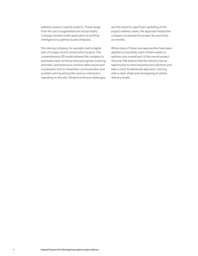address losses in capital projects. These range from the use of augmented and virtual reality in design reviews to the application of artificial intelligence to optimize build schedules.

One mining company, for example, built a digital twin of a major recent construction project. The comprehensive 3D model allowed the company to automate many formerly manual progress-tracking activities, and acted as a common data source and visualization tool to streamline communication and problem solving among the various contractors operating on the site. Despite technical challenges, and the need for significant upskilling of the project-delivery team, the approach helped the company accelerate the project by more than six months.

While many of these new approaches have been applied successfully, each of them seeks to address only a small part of the overall project lifecycle. We believe that the industry has an opportunity to move beyond point solutions and take a more fundamental approach, starting with a clean sheet and reimagining its whole delivery model.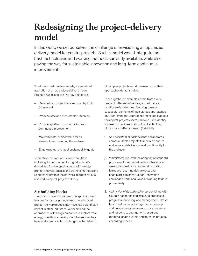## **Redesigning the project-delivery model**

In this work, we set ourselves the challenge of envisioning an optimized delivery model for capital projects. Such a model would integrate the best technologies and working methods currently available, while also paving the way for sustainable innovation and long-term continuous improvement.

To address the industry's needs, we set a bold aspiration of a new project-delivery model, Projects 5.0, to achieve five key objectives:

- Reduce both project time and cost by 40 to 50 percent
- Produce safe and predictable outcomes
- Provide a platform for innovation and continuous improvement
- Maximize total project value for all stakeholders, including the end user
- Enable projects to meet sustainability goals

To create our vision, we explored solutions including (but not limited to) digital tools. We delved into fundamental aspects of the wider project lifecycle, such as the working methods and relationships within the network of organizations involved in capital-project delivery.

#### **Six building blocks**

The core of our work has been the application of lessons for capital projects from the advanced project-delivery models that have had a significant impact in other industries. We examined the approaches of leading companies in sectors from energy to software development to see how they have addressed similar challenges in the delivery

of complex projects—and the results that their approaches demonstrated.

These lighthouse examples come from a wide range of different industries, and address a multitude of challenges. Studying the most successful elements of their various approaches, and identifying the approaches most applicable to the capital-projects sector, allowed us to identify six design principles that could act as building blocks for a better approach (Exhibit 5):

- 1. An *ecosystem of partners* that collaborates across multiple projects to maximize end-toend value and deliver optimal functionality for the end user.
- 2. *Industrialization*, with the adoption of standard processes for repeated tasks and extensive use of standardization and modularization to reduce recurring design costs and enable off-site construction. Innovation challenges traditional ways of working to drive productivity.
- 3. *Agility, flexibility and resilience*, combined with a stable backbone of disciplined processes, progress monitoring, and management. Crossfunctional teams work together to develop and deliver project elements, solve problems, and respond to change, with resources rapidly allocated within and between projects according to need.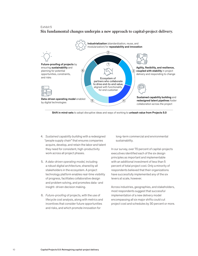#### Exhibit 5

**Six fundamental changes underpin a new approach to capital-project delivery.** 



Shift in mind-sets to adopt disruptive ideas and ways of working to unleash value from Projects 5.0

- 4. *Sustained capability building* with a redesigned "people supply chain" that ensures companies acquire, develop, and retain the labor and talent they need for consistent, high-productivity work across all project phases.
- 5. A *data-driven operating model,* including a robust digital architecture, shared by all stakeholders in the ecosystem. A project technology platform enables real-time visibility of progress, facilitates collaborative design and problem solving, and promotes data- and insight- driven decision making.
- 6. *Future-proofing* of projects, with the use of lifecycle cost analysis, along with metrics and incentives that consider future opportunities and risks, and which promote innovation for

long-term commercial and environmental sustainability.

In our survey, over 70 percent of capital-projects executives identified each of the six design principles as important and implementable with an additional investment of less than 5 percent of total project cost. Only a minority of respondents believed that their organizations have successfully implemented any of the six levers at scale, however.

Across industries, geographies, and stakeholders, most respondents suggest that successful implementation of a new delivery model encompassing all six major shifts could cut project cost and schedules by 30 percent or more.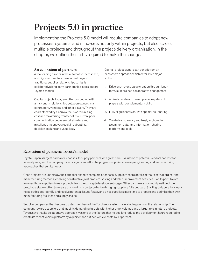## **Projects 5.0 in practice**

Implementing the Projects 5.0 model will require companies to adopt new processes, systems, and mind-sets not only within projects, but also across multiple projects and throughout the project-delivery organization. In the chapter, we outline the shifts required to make the change.

#### **An ecosystem of partners**

A few leading players in the automotive, aerospace, and high-tech sectors have moved beyond traditional supplier relationships to highly collaborative long-term partnerships (see sidebar: Toyota's model).

Capital projects today are often conducted with arms-length relationships between owners, main contractors, vendors, and other players. They are characterized by a narrow focus on minimizing cost and maximizing transfer of risk. Often, poor communication between stakeholders and misaligned incentives result in suboptimal decision-making and value loss.

Capital-project owners can benefit from an ecosystem approach, which entails five major shifts:

- 1. Drive end-to-end value creation through longterm, multiproject, collaborative engagement
- 2. Actively curate and develop an ecosystem of players with complementary skills
- 3. Fully align incentives, with optimal risk sharing
- 4. Create transparency and trust, anchored on a common data- and information-sharing platform and tools

#### **Ecosystem of partners: Toyota's model**

Toyota, Japan's largest carmaker, chooses its supply partners with great care. Evaluation of potential vendors can last for several years, and the company invests significant effort helping new suppliers develop engineering and manufacturing approaches that suit its needs.

Once projects are underway, the carmaker expects complete openness. Suppliers share details of their costs, margins, and manufacturing methods, enabling constructive joint problem-solving and value-improvement activities. For its part, Toyota involves those suppliers in new projects from the concept-development stage. Other carmakers commonly wait until the prototype stage—often two years or more into a project—before bringing suppliers fully onboard. Starting collaborations early helps both sides identify and resolve potential issues faster, and gives suppliers more time to prepare and optimize their own manufacturing facilities and supply chains.

Supplier companies that become trusted members of the Toyota ecosystem have a lot to gain from the relationship. The company rewards suppliers that meet its demanding targets with higher order volumes and a larger role in future projects. Toyota says that its collaborative approach was one of the factors that helped it to reduce the development hours required to create its recent vehicle platform by a quarter and cut per-vehicle costs by 10 percent.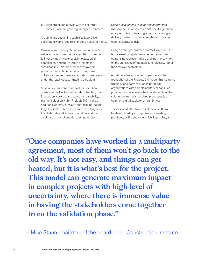5. Align project objectives with the external context, including the regulatory environment

Creating and sustaining such a collaborative ecosystem would require changes on several fronts.

*Develop a through-cycle value-creation mindset.* A long-term perspective results in incentives to invest in quality over cost, innovate, build capabilities, and future-proof projects for sustainability. This mind-set means owners prioritize the multiplier effects of long-term collaboration over the mirage of short-term savings under the least-cost contracting paradigm.

*Develop a comprehensive partner-selection methodology.* Unlike traditional contracting that focuses only on cost and execution capability, partner selection within Projects 5.0 involves additional criteria, such as a shared mind-set of long-term value creation, cultural fit, willingness to collaborate and share information, and the existence of complementary competencies.

*Construct a fair and transparent contracting framework.* This involves a shift from fragmented, opaque contracts to a single contract among all delivery partners that enables sharing of value commensurate to risk.

*Design a joint governance model.* Projects 5.0 is governed by a joint management structure comprising representatives of all partners, who sit on the same side of the table and "discuss, rather than review" each other.

A collaborative ecosystem of partners is the foundation of the Projects 5.0 model. Transparent, trusting, long-term relationships among organizations with complementary capabilities provide the space in which other elements of the solutions—from standardized processes to a common digital backbone—can thrive.

The ease and effectiveness of these shifts will be determined by an organization's existing practices, by the sector in which it operates, and

**"Once companies have worked in a multiparty agreement, most of them won't go back to the old way. It's not easy, and things can get heated, but it is what's best for the project. This model can generate maximum impact in complex projects with high level of uncertainty, where there is immense value in having the stakeholders come together from the validation phase."**

—Mike Staun, chairman of the board, Lean Construction Institute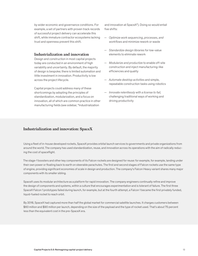by wider economic and governance conditions. For example, a set of partners with proven track records of successful project delivery can accelerate this shift, while immature contractor ecosystems lacking trust and openness prevent this shift.

#### **Industrialization and innovation**

Design and construction in most capital projects today are conducted in an environment of high variability and uncertainty. By default, the majority of design is bespoke; there is limited automation and little investment in innovation. Productivity is low across the project lifecycle.

Capital projects could address many of these shortcomings by adopting the principles of standardization, modularization, and a focus on innovation, all of which are common practice in other manufacturing fields (see sidebar, "Industrialization

and innovation at SpaceX"). Doing so would entail five shifts:

- *Optimize work sequencing, processes, and workflows* and minimize rework or waste
- *Standardize design libraries* for low-value elements to eliminate rework
- *Modularize and productize* to enable off-site construction and inject manufacturing-like efficiencies and quality
- *Automate desktop activities* and simple, repeatable construction tasks using robotics
- *Innovate relentlessly with a license to fail,*  challenging traditional ways of working and driving productivity

#### **Industrialization and innovation: SpaceX**

Using a fleet of in-house developed rockets, SpaceX provides orbital launch services to governments and private organizations from around the world. The company has used standardization, reuse, and innovation across its operations with the aim of radically reducing the cost of spaceflight.

The stage-1 boosters and other key components of its Falcon rockets are designed for reuse: for example, for example, landing under their own power or floating back to earth on steerable parachutes. The first and second stages of Falcon rockets use the same type of engine, providing significant economies of scale in design and production. The company's Falcon Heavy variant shares many major components with its smaller sibling.

SpaceX uses its modular architecture as a platform for rapid innovation. The company engineers continually refine and improve the design of components and systems, within a culture that encourages experimentation and is tolerant of failure. The first three SpaceX Falcon 1 prototypes failed during launch, for example, but at the fourth attempt, a Falcon 1 became the first privately funded, liquid-fueled rocket to reach orbit.

By 2018, SpaceX had captured more than half the global market for commercial satellite launches. It charges customers between \$60 million and \$90 million per launch, depending on the size of the payload and the type of rocket used. That's about 75 percent less than the equivalent cost in the pre-SpaceX era.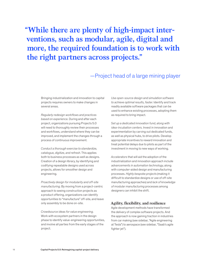**"While there are plenty of high-impact interventions, such as modular, agile, digital and more, the required foundation is to work with the right partners across projects."**

### —Project head of a large mining player

Bringing industrialization and innovation to capital projects requires owners to make changes in several areas.

*Regularly redesign workflows and practices based on experience.* During and after each project, organizations pursuing Projects 5.0 will need to thoroughly review their processes and workflows, understand where they can be improved, and implement the changes through a process of continuous improvement.

*Conduct a thorough exercise to standardize, catalogue, digitize, and refresh.* This applies both to business processes as well as designs. Creation of a design library, by identifying and codifying repeatable designs used across projects, allows for smoother design and engineering.

*Proactively design for modularity and off-site manufacturing.* By moving from a project-centric approach to seeing construction projects as a product offering, organizations can identify opportunities to "manufacture" off-site, and leave only assembly to be done on-site.

*Crowdsource ideas for value engineering.* Work with ecosystem partners in the design phase to identify value-engineering opportunities, and involve all parties from the early stages of the project.

*Use open-source design and simulation software to achieve optimal results, faster.* Identify and track readily available software packages that can be used to enhance existing processes, adopting them as required to bring impact.

*Set up a dedicated innovation fund, along with idea-incubation centers.* Invest in innovation and experimentation by carving out dedicated funds, as well as physical hubs, to drive pilots. Develop appropriate incentives to reward innovation and treat potential delays due to pilots as part of the investment in moving to new ways of working.

*Accelerators* that will aid the adoption of the industrialization and innovation approach include *advancements in automation technology*, along with computer-aided design and manufacturing processes. *Highly bespoke projects* (making it difficult to standardize designs or use of off-site manufacturing approaches) and *lack of knowledge of modular manufacturing* processes among designers can inhibit the shift.

#### **Agility, flexibility, and resilience**

Agile development methods have transformed the delivery of complex software projects. And the approach is now gaining traction in industries from car making (see sidebar, "Agile engineering at Tesla") to aerospace (see sidebar, "Saab's agile fighter jet").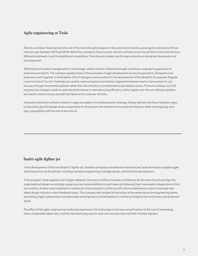#### **Agile engineering at Tesla**

Electric carmaker Tesla has become one of the most disruptive players in the automotive industry, growing its revenues by 50 percent per year between 2014 and 2019. While the company's focus on pure-electric vehicles across its portfolio is the most obvious difference between it and its established competitors, Tesla has also shaken up the way products are designed, developed, and manufactured.

Reflecting its founders' backgrounds in technology-related sectors, Tesla has brought a software-engineering approach to automotive products. The company applies many of the principles of agile development across its operations. Designers and engineers work together in small teams. Only 11 designers were involved in the development of the Model S, for example. Regular cross-functional "scrum" meetings are used to review progress and maintain alignment between teams. Improvement is continuous, through incremental updates rather than the industry's conventional annual release cycles. Products undergo up to 20 engineering changes a week to optimize performance or manufacturing efficiency, while regular over-the-air software updates are used to resolve issues and add new features to customer vehicles.

Tesla also follows the software industry's agile principles in its modularization strategy. Clearly defined interfaces between major components give the design teams responsible for those parts the freedom to innovate and improve, while ensuring plug-andplay compatibility with the rest of the vehicle.

#### **Saab's agile fighter jet**

In the development of the new Gripen E fighter jet, Swedish aerospace and defense manufacturer Saab Aeronautics applied agile practices across all disciplines, including hardware engineering, fuselage design, and software development.

In the program, Saab applied a set of agile catalysts. One was to define a modular architecture for the new aircraft and align the organizational design accordingly, assigning clear responsibilities to each team and allowing them reasonable independence from one another. Another was investment in advanced virtual simulators of the aircraft, which enabled every team to evaluate their latest design choices in short feedback loops. The company also located its test pilots at the same site as the engineering teams, promoting a tight collaboration between pilots and engineers so that feedback could be provided at the end of every development sprint.

The effect of the agile-engineering model was impressive: the total project cost was a small fraction of the cost of developing other comparable fighter jets, and the manufacturing cost for each unit was less than half that of similar fighters.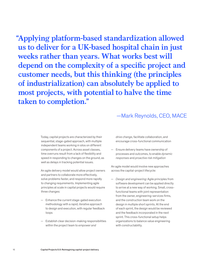**"Applying platform-based standardization allowed us to deliver for a UK-based hospital chain in just weeks rather than years. What works best will depend on the complexity of a specific project and customer needs, but this thinking (the principles of industrialization) can absolutely be applied to most projects, with potential to halve the time taken to completion."** 

### —Mark Reynolds, CEO, MACE

Today, capital projects are characterized by their sequential, stage-gated approach, with multiple independent teams working in silos on different components of a project. Across asset classes, time overruns result from a lack of flexibility and speed in responding to changes on the ground, as well as delays in tracking potential issues.

An agile delivery model would allow project owners and partners to collaborate more effectively, solve problems faster, and respond more rapidly to changing requirements. Implementing agile principles at scale in capital projects would require three changes:

- Enhance the current stage-gated execution methodology with a *rapid, iterative approach* to design and execution, with regular feedback loops
- Establish clear decision-making responsibilities within the project team to *empower and*

*drive change*, facilitate collaboration, and encourage cross-functional communication

— Ensure delivery teams have ownership of processes and outcomes, to enable *dynamic responses* and *proactive risk mitigation*

An agile model would involve new approaches across the capital-project lifecycle:

— *Design and engineering:* Agile principles from software development can be applied directly to arrive at a new way of working. Small, crossfunctional teams with joint representation from the owner, engineering-services firms, and the construction team work on the design in multiple short sprints. At the end of each sprint, the design would be reviewed and the feedback incorporated in the next sprint. This cross-functional setup helps organizations to balance value engineering with constructability.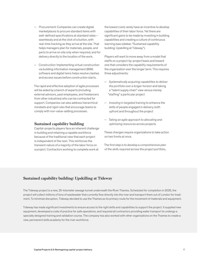- *Procurement:* Companies can create digital marketplaces to procure standard items with well-defined specifications at standard rates seamlessly and at the click of a button, with real-time tracking as they arrive at the site. That helps managers plan for materials, people, and parts to arrive on site only when required, and for delivery directly to the location of the work.
- *Construction:* Implementing virtual construction via building information management (BIM) software and digital twins helps resolve clashes and access issues before construction starts.

The rapid and effective adoption of agile processes will be aided by a bench of experts (including external advisors, past employees, and freelancers from other industries) who can be contracted for support. Companies can also address hierarchical mindsets and rigid rules that encourage teams to comply with non-value-adding processes.

#### **Sustained capability building**

Capital-projects players face an inherent challenge in building and retaining a capable workforce because of the traditional view that each project is independent of the next. This reinforces the transient nature of a majority of the labor force on a project. Contractors working to complete work at

the lowest costs rarely have an incentive to develop capabilities of their labor force. Yet there are significant gains to be made by investing in building capabilities and creating a culture of continuous learning (see sidebar, "Sustained capability building: Upskilling at Tideway").

Players will want to move away from a model that staffs on a project-by-project basis and toward one that considers the capability requirements of the organization over the longer term. This requires three adjustments:

- *Systematically acquiring capabilities to deliver the portfolio over a longer horizon* and taking a "talent supply chain" view versus merely "staffing" a particular project
- *Investing in targeted training* to enhance the skills of people engaged in delivery, both upfront and throughout the project
- *Taking an agile approach to allocating and optimizing resources* across projects

These changes require organizations to take action on two fronts at once.

The first step is to develop a *comprehensive plan of the skills required* across the project portfolio,

#### **Sustained capability building: Upskilling at Tideway**

The Tideway project is a new, 25-kilometer sewage tunnel underneath the River Thames. Scheduled for completion in 2025, the project will collect millions of tons of wastewater that currently flow directly into the river and transport them out of London for treatment. To minimize disruption, Tideway decided to use the Thames as its primary route for the movement of materials and equipment.

Tideway has made significant investments to ensure access to the right skills and capabilities to support the project. It supplied new equipment, developed a code of practice for safe operations, and required all contractors providing water transport to undergo a specially designed training and validation course. The company has also worked with other organizations on the Thames to create a new, permanent skills academy for the river workforce.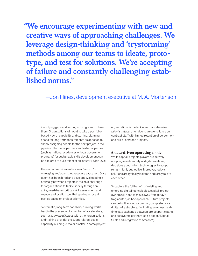**"We encourage experimenting with new and creative ways of approaching challenges. We leverage design-thinking and 'trystorming' methods among our teams to ideate, prototype, and test for solutions. We're accepting of failure and constantly challenging established norms."**

### —Jon Hines, development executive at M. A. Mortenson

identifying gaps and setting up programs to close them. Organizations will want to take a portfoliobased view of capability and staffing, planning ahead for long-term requirements as opposed to simply assigning people for the next project in the pipeline. The use of partners and external parties (such as national academies or local government programs) for sustainable skills development can be explored to build talent at an industry-wide level.

The second requirement is a *mechanism for managing and optimizing resource allocation*. Once talent has been hired and developed, allocating it optimally between projects is the next challenge for organizations to tackle, ideally through an agile, need-based critical-skill assessment and resource-allocation tool that applies across all parties based on project priorities.

Systematic, long-term capability building works best in the presence of a number of accelerators, such as *learning alliances* with other organizations and training providers to support large-scale capability building. A major blocker in some project

organizations is the lack of a comprehensive *talent strategy*, often due to an overreliance on contract staff with limited retention of personnel– and skills–between projects.

#### **A data-driven operating model**

While capital-projects players are actively adopting a wide variety of digital solutions, decisions about which technologies to adopt remain highly subjective. Moreover, today's solutions are typically isolated and rarely talk to each other.

To capture the full benefit of existing and emerging digital technologies, capital-project owners will need to move away from today's fragmented, ad hoc approach. Future projects can be built around a common, comprehensive digital infrastructure, facilitating seamless, realtime data exchange between project participants and ecosystem partners (see sidebar, "Digital: Scale and integration at Amazon").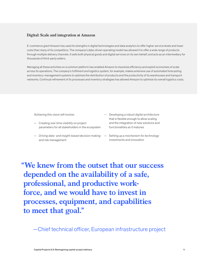#### **Digital: Scale and integration at Amazon**

E-commerce giant Amazon has used its strengths in digital technologies and data analytics to offer higher service levels and lower costs than many of its competitors. The company's data-driven operating model has allowed it to offer a wide range of products through multiple delivery channels. It sells both physical goods and digital services on its own behalf, and acts as an intermediary for thousands of third-party sellers.

Managing all these activities on a common platform has enabled Amazon to maximize efficiency and exploit economies of scale across its operations. The company's fulfilment and logistics system, for example, makes extensive use of automated forecasting and inventory-management systems to optimize the distribution of products and the productivity of its warehouses and transport networks. Continual refinement of its processes and inventory strategies has allowed Amazon to optimize its overall logistics costs.

Achieving this vision will involve:

- Creating *real-time visibility* on project parameters for all stakeholders in the ecosystem
- *Driving data- and insight-based decision making*  and risk management
- Developing a *robust digital architecture* that is flexible enough to allow scaling and the integration of new solutions and functionalities as it matures
- Setting up a *mechanism for technology investments and innovation*

**"We knew from the outset that our success depended on the availability of a safe, professional, and productive workforce, and we would have to invest in processes, equipment, and capabilities to meet that goal."**

—Chief technical officer, European infrastructure project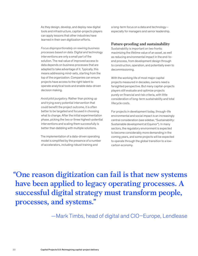As they design, develop, and deploy new digital tools and infrastructure, capital-projects players can apply lessons that other industries have learned in their own digitization efforts.

*Focus disproportionately on rewiring business processes based on data.* Digital and technology interventions are only a small part of the solution. The real value of improved access to data depends on business processes that are adapted to take advantage of it. Typically, this means addressing mind-sets, starting from the top of the organization. Companies can ensure projects have access to the right talent to operate analytical tools and enable data-driven decision making.

*Avoid pilot purgatory.* Rather than picking up and trying every potential intervention that could benefit the project outcome, it is often better to be targeted and focused in choosing what to change. After the initial experimentation phase, picking the two or three highest-potential interventions and scaling them successfully is better than dabbling with multiple solutions.

The implementation of a data-driven operating model is simplified by the presence of a number of accelerators, including robust training and

a long-term focus on a data and technology especially for managers and senior leadership.

#### **Future-proofing and sustainability**

Sustainability is important on two fronts: maximizing the lifetime value of an asset, as well as reducing environmental impact in the end-toend process, from development design through to construction, operation, and potentially even to decommissioning.

With the working life of most major capital projects measured in decades, owners need a farsighted perspective. But many capital-projects players still evaluate and optimize projects purely on financial and risk criteria, with little consideration of long-term sustainability and total lifecycle costs.

For projects in development today, through-life environmental and social impact is an increasingly central consideration (see sidebar, "Sustainability: Sustainable development at Equinor"). In many sectors, the regulatory environment is expected to become considerably more demanding in the coming years, and some projects will be expected to operate through the global transition to a lowcarbon economy.

**"One reason digitization can fail is that new systems have been applied to legacy operating processes. A successful digital strategy must transform people, processes, and systems."**

—Mark Timbs, head of digital and CIO–Europe, Lendlease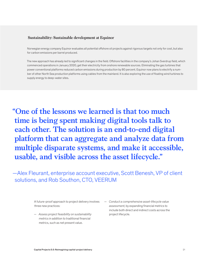#### **Sustainability: Sustainable development at Equinor**

Norwegian energy company Equinor evaluates all potential offshore oil projects against rigorous targets not only for cost, but also for carbon emissions per barrel produced.

The new approach has already led to significant changes in the field. Offshore facilities in the company's Johan Sverdrup field, which commenced operations in January 2020, get their electricity from onshore renewable sources. Eliminating the gas turbines that power conventional platforms reduced carbon emissions during production by 80 percent. Equinor now plans to electrify a number of other North Sea production platforms using cables from the mainland. It is also exploring the use of floating wind turbines to supply energy to deep-water sites.

**"One of the lessons we learned is that too much time is being spent making digital tools talk to each other. The solution is an end-to-end digital platform that can aggregate and analyze data from multiple disparate systems, and make it accessible, usable, and visible across the asset lifecycle."**

—Alex Fleurant, enterprise account executive, Scott Benesh, VP of client solutions, and Rob Southon, CTO, VEERUM

> A future-proof approach to project delivery involves three new practices:

- *Assess project feasibility on sustainability metrics* in addition to traditional financial metrics, such as net present value.
- *Conduct a comprehensive asset-lifecycle value assessment,* by expanding financial metrics to include both direct and indirect costs across the project lifecycle.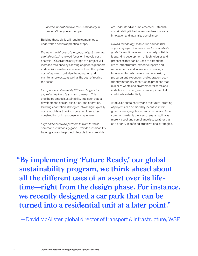— *Include innovation towards sustainability* in projects' lifecycle and scope.

Building these skills will require companies to undertake a series of practical steps.

*Evaluate the full cost of a project, not just the initial capital costs.* A renewed focus on lifecycle cost analysis (LCCA) at the early stage of a project will increase resilience by allowing engineers, planners, and decision-makers to assess not just the up-front cost of a project, but also the operation and maintenance costs, as well as the cost of retiring the asset.

*Incorporate sustainability KPIs and targets for all project delivery teams and partners.* This step helps embed sustainability into each stage: development, design, execution, and operation. Building adaptation strategies into design typically costs much less than incorporating them after construction or in response to a major event.

*Align and incentivize partners to work towards common sustainability goals*. Provide sustainability training across the project lifecycle to ensure KPIs

are understood and implemented. Establish sustainability-linked incentives to encourage innovation and maximize compliance.

*Drive a technology-innovation agenda that supports project innovation and sustainability goals.* Scientific research in a variety of fields is sparking development of technologies and processes that can be used to extend the life of infrastructure, expedite repairs and replacements, and increase cost savings. Innovation targets can encompass design, procurement, execution, and operation: ecofriendly materials, construction practices that minimize waste and environmental harm, and installation of energy-efficient equipment all contribute substantially.

A focus on sustainability and the future-proofing of projects can be aided by incentives from governments, regulators, and customers. But a common barrier is the view of sustainability as merely a cost and compliance issue, rather than as a priority in defining organizational strategies.

**"By implementing 'Future Ready,' our global sustainability program, we think ahead about all the different uses of an asset over its lifetime—right from the design phase. For instance, we recently designed a car park that can be turned into a residential unit at a later point."**

—David McAlister, global director of transport & infrastructure, WSP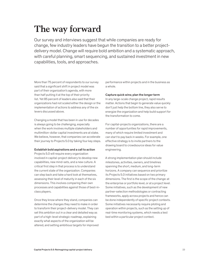## **The way forward**

Our survey and interviews suggest that while companies are ready for change, few industry leaders have begun the transition to a better projectdelivery model. Change will require bold ambition and a systematic approach, with careful planning, smart sequencing, and sustained investment in new capabilities, tools, and approaches.

More than 75 percent of respondents to our survey said that a significant shift in project model was part of their organization's agenda, with more than half putting it at the top of their priority list. Yet 85 percent of leaders also said that their organizations had not scaled either the design or the implementation of actions to address any of the six levers discussed above.

Changing a model that has been in use for decades is always going to be challenging, especially when the work involves multiple stakeholders and multimillion-dollar capital investments are at stake. We believe, however, that companies can accelerate their journey to Projects 5.0 by taking four key steps.

#### Establish bold aspirations and a call to action

Projects 5.0 will require every organization involved in capital-project delivery to develop new capabilities, new mind-sets, and a new culture. A critical first step in that process is to understand the current state of the organization. Companies can step back and take a hard look at themselves, assessing their level of maturity in each of the six dimensions. This involves comparing their own processes and capabilities against those of best-inclass players.

Once they know where they stand, companies can determine the changes they need to make in order to transform their project-delivery model. They can set this ambition out in a clear and detailed way as part of a high-level strategic roadmap, explaining exactly what aspects of the organization will be altered, and setting ambitious targets for improved

performance within projects and in the business as a whole.

#### Capture quick wins; plan the longer term

In any large-scale change project, rapid results matter. Actions that begin to generate value quickly don't just help the bottom line, they also serve to energize the organization and help build support for the transformation to come.

For capital-projects organizations, there are a number of opportunities for rapid improvements, many of which require limited investment and can start to pay back in weeks. For example, one effective strategy is to invite partners to the drawing board to crowdsource ideas for value engineering.

A strong implementation plan should include milestones, activities, owners, and timelines spanning the short, medium, and long-term horizons. A company can sequence and prioritize its Projects 5.0 initiatives based on two primary dimensions. The first is the scope of the change: at the enterprise or portfolio level, or at a project level. Some initiatives, such as the development of new partner-selection methodologies or contracting frameworks, apply across projects and hence can be done independently of specific project contexts. Some initiatives necessarily require piloting and operation within projects, such as the setting up of real-time monitoring systems, which needs a test bed within a particular project context.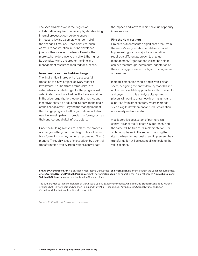The second dimension is the degree of collaboration required. For example, standardizing internal processes can be done entirely in-house, allowing a company full control of the changes it makes. Other initiatives, such as off-site construction, must be developed jointly with ecosystem partners. Broadly, the more stakeholders involved in effort, the higher its complexity and the greater the time and management resources required for success.

#### Invest real resources to drive change

The final, critical ingredient of a successful transition to a new project-delivery model is investment. An important prerequisite is to establish a separate budget for the program, with a dedicated task force to drive the transformation. In the wider organization, leadership metrics and incentives should be adjusted in line with the goals of the change effort. Beyond the management of the change program itself, organizations will also need to invest up-front in crucial platforms, such as their end-to-end digital infrastructure.

Once the building blocks are in place, the process of change on the ground can begin. This will be an transformation journey lasting an estimated 12 to 18 months. Through waves of pilots driven by a central transformation office, organizations can validate

the impact, and move to rapid scale-up of priority interventions.

#### Find the right partners

Projects 5.0 represents a significant break from the sector's long-established delivery model. Implementing such a major transformation requires a different approach to change management. Organizations will not be able to achieve that through incremental adaptation of their existing processes, tools, and management approaches.

Instead, companies should begin with a clean sheet, designing their new delivery model based on the best available approaches within the sector and beyond it. In this effort, capital-projects players will want to draw heavily on insights and expertise from other sectors, where methods such as agile development and industrialization are already well-understood.

A collaborative ecosystem of partners is a central pillar of the Projects 5.0 approach, and the same will be true of its implementation. For ambitious players in the sector, choosing the right partners to help design and implement their transformation will be essential in unlocking the value at stake.

Shankar Chandrasekaran is a partner in McKinsey's Doha office; Shakeel Kalidas is a consultant in the Johannesburg office, where Gerhard Nel and Prakash Parbhoo are both partners; Mina Mir is an expert in the Dubai office; and Anuradha Rao and Siddharth Srikanthan are consultants in the Chennai office.

The authors wish to thank the leaders of McKinsey's Capital Excellence Practice, which include Steffen Fuchs, Tony Hansen, Erikhans Kok, Olivier Legrand, Shannon Peloquin, Piotr Pikul, Filippo Rossi, Kevin Stokvis, Gernot Strube, and Koen Vermeltfoort, for their contributions to this article

Copyright © 2021 McKinsey & Company. All rights reserved.